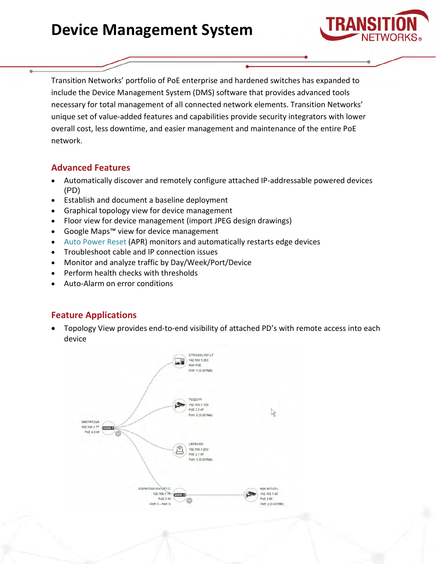# **Device Management System**



Transition Networks' portfolio of PoE enterprise and hardened switches has expanded to include the Device Management System (DMS) software that provides advanced tools necessary for total management of all connected network elements. Transition Networks' unique set of value-added features and capabilities provide security integrators with lower overall cost, less downtime, and easier management and maintenance of the entire PoE network.

# **Advanced Features**

- Automatically discover and remotely configure attached IP-addressable powered devices (PD)
- Establish and document a baseline deployment
- Graphical topology view for device management
- Floor view for device management (import JPEG design drawings)
- Google Maps™ view for device management
- [Auto Power Reset](https://www.transition.com/wp-content/uploads/2016/05/Auto-Power-Reset.pdf?utm_source=Press%20Release&utm_medium=Public%20Relations) (APR) monitors and automatically restarts edge devices
- Troubleshoot cable and IP connection issues
- Monitor and analyze traffic by Day/Week/Port/Device
- Perform health checks with thresholds
- Auto-Alarm on error conditions

# **Feature Applications**

• Topology View provides end-to-end visibility of attached PD's with remote access into each device

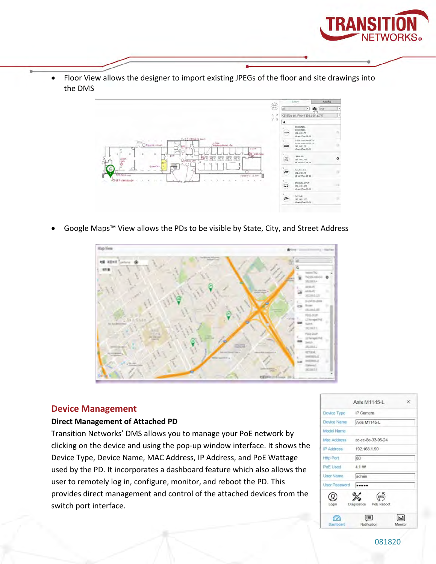

• Floor View allows the designer to import existing JPEGs of the floor and site drawings into the DMS



• Google Maps™ View allows the PDs to be visible by State, City, and Street Address



### **Device Management**

### **Direct Management of Attached PD**

Transition Networks' DMS allows you to manage your PoE network by clicking on the device and using the pop-up window interface. It shows the Device Type, Device Name, MAC Address, IP Address, and PoE Wattage used by the PD. It incorporates a dashboard feature which also allows the user to remotely log in, configure, monitor, and reboot the PD. This provides direct management and control of the attached devices from the switch port interface.

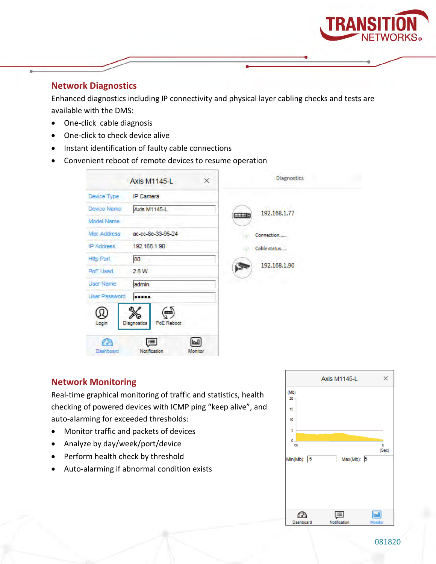

### **Network Diagnostics**

Enhanced diagnostics including IP connectivity and physical layer cabling checks and tests are available with the DMS:

- One-click cable diagnosis
- One-click to check device alive
- Instant identification of faulty cable connections
- Convenient reboot of remote devices to resume operation

| 192.168.1.77<br>Connection |
|----------------------------|
|                            |
|                            |
|                            |
|                            |
| Cable status               |
|                            |
| 192.168.1.90               |
|                            |
|                            |
|                            |
|                            |

### **Network Monitoring**

Real-time graphical monitoring of traffic and statistics, health checking of powered devices with ICMP ping "keep alive", and auto-alarming for exceeded thresholds:

- Monitor traffic and packets of devices
- Analyze by day/week/port/device
- Perform health check by threshold
- Auto-alarming if abnormal condition exists